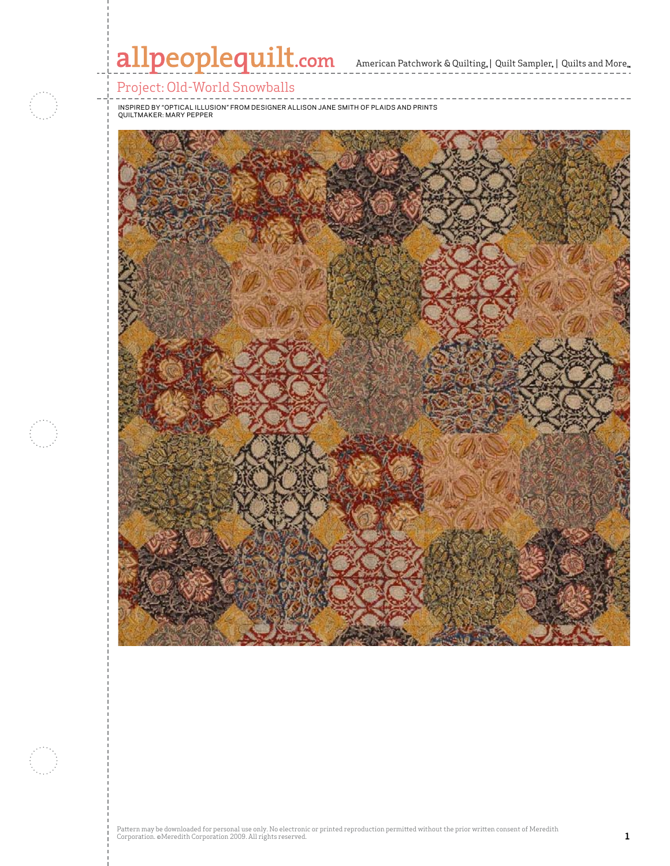

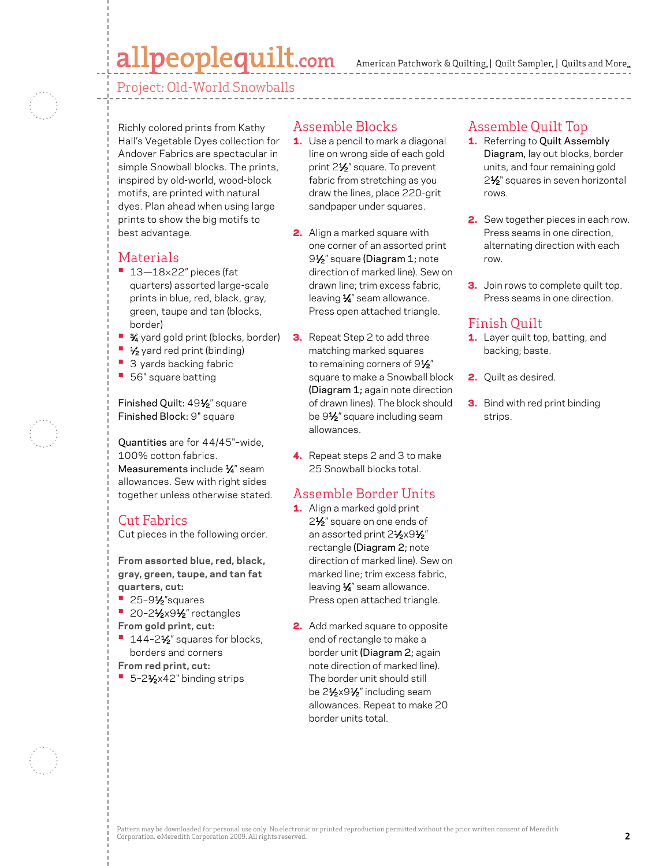# allpeoplequilt.com

American Patchwork & Quilting,  $|$  Quilt Sampler,  $|$  Quilts and More,

Project: Old-World Snowballs

Richly colored prints from Kathy Hall's Vegetable Dyes collection for Andover Fabrics are spectacular in simple Snowball blocks. The prints, inspired by old-world, wood-block motifs, are printed with natural dyes. Plan ahead when using large prints to show the big motifs to best advantage.

#### **Materials**

- **•**  13—18×22" pieces (fat quarters) assorted large-scale prints in blue, red, black, gray, green, taupe and tan (blocks, border)
- **<sup>8</sup>** 3⁄4 yard gold print (blocks, border)
- **1/<sub>2</sub>** yard red print (binding)
- **3 yards backing fabric**
- **•**  56" square batting

Finished Quilt: 491/2" square Finished Block: 9" square

Quantities are for 44/45"–wide, 100% cotton fabrics. Measurements include  $\frac{1}{4}$ " seam allowances. Sew with right sides together unless otherwise stated.

#### Cut Fabrics

Cut pieces in the following order.

**From assorted blue, red, black, gray, green, taupe, and tan fat quarters, cut:**

- **•**  25–91⁄2"squares
- **20-21/2x91/2**" rectangles
- **From gold print, cut:**
- <sup>•</sup> 144-2<sup>1</sup>/<sub>2</sub>" squares for blocks, borders and corners
- **From red print, cut:**
- 5-2<sup>1</sup>⁄<sub>2</sub>x42" binding strips

#### Assemble Blocks

- **1.** Use a pencil to mark a diagonal line on wrong side of each gold print 21/<sub>2</sub>" square. To prevent fabric from stretching as you draw the lines, place 220-grit sandpaper under squares.
- 2. Align a marked square with one corner of an assorted print 9<sup>1</sup>/<sub>2</sub>" square (Diagram 1; note direction of marked line). Sew on drawn line; trim excess fabric, leaving  $\frac{1}{4}$ " seam allowance. Press open attached triangle.
- **3.** Repeat Step 2 to add three matching marked squares to remaining corners of  $9\frac{1}{2}$ " square to make a Snowball block (Diagram 1; again note direction of drawn lines). The block should be 9<sup>1/2"</sup> square including seam allowances.
- 4. Repeat steps 2 and 3 to make 25 Snowball blocks total.

# Assemble Border Units

- 1. Align a marked gold print 2<sup>1</sup>⁄<sub>2</sub>" square on one ends of an assorted print 21/2x91/2" rectangle (Diagram 2; note direction of marked line). Sew on marked line; trim excess fabric, leaving  $\frac{1}{4}$ " seam allowance. Press open attached triangle.
- 2. Add marked square to opposite end of rectangle to make a border unit (Diagram 2; again note direction of marked line). The border unit should still be 21⁄2x91⁄2" including seam allowances. Repeat to make 20 border units total.

### Assemble Quilt Top

- 1. Referring to Quilt Assembly Diagram, lay out blocks, border units, and four remaining gold 2<sup>1</sup>/<sub>2</sub>" squares in seven horizontal rows.
- **2.** Sew together pieces in each row. Press seams in one direction, alternating direction with each row.
- **3.** Join rows to complete quilt top. Press seams in one direction.

## Finish Quilt

- 1. Layer quilt top, batting, and backing; baste.
- 2. Quilt as desired.
- **3.** Bind with red print binding strips.